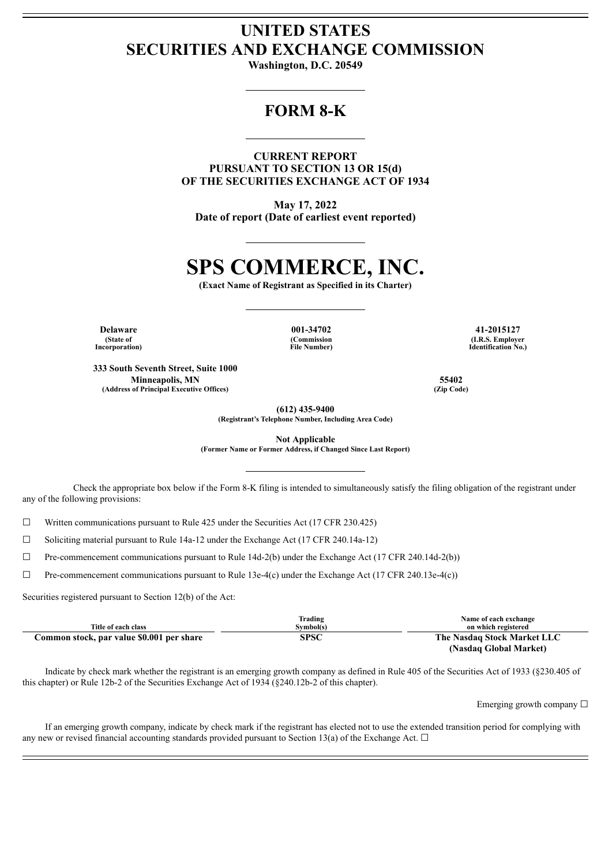# **UNITED STATES SECURITIES AND EXCHANGE COMMISSION**

**Washington, D.C. 20549**

## **FORM 8-K**

**CURRENT REPORT PURSUANT TO SECTION 13 OR 15(d) OF THE SECURITIES EXCHANGE ACT OF 1934**

**May 17, 2022 Date of report (Date of earliest event reported)**

# **SPS COMMERCE, INC.**

**(Exact Name of Registrant as Specified in its Charter)**

**(State of Incorporation)**

**Delaware 001-34702 41-2015127 (Commission File Number)**

**333 South Seventh Street, Suite 1000 Minneapolis, MN 55402 (Address of Principal Executive Offices) (Zip Code)**

**(I.R.S. Employer Identification No.)**

**(612) 435-9400**

**(Registrant's Telephone Number, Including Area Code)**

**Not Applicable**

**(Former Name or Former Address, if Changed Since Last Report)**

Check the appropriate box below if the Form 8-K filing is intended to simultaneously satisfy the filing obligation of the registrant under any of the following provisions:

 $\Box$  Written communications pursuant to Rule 425 under the Securities Act (17 CFR 230.425)

☐ Soliciting material pursuant to Rule 14a-12 under the Exchange Act (17 CFR 240.14a-12)

 $\Box$  Pre-commencement communications pursuant to Rule 14d-2(b) under the Exchange Act (17 CFR 240.14d-2(b))

 $\Box$  Pre-commencement communications pursuant to Rule 13e-4(c) under the Exchange Act (17 CFR 240.13e-4(c))

Securities registered pursuant to Section 12(b) of the Act:

| Title of each class                       | Trading<br>Symbol(s) | Name of each exchange<br>on which registered |
|-------------------------------------------|----------------------|----------------------------------------------|
|                                           |                      |                                              |
| Common stock, par value \$0.001 per share | SPSC                 | The Nasdaq Stock Market LLC                  |
|                                           |                      | (Nasdaq Global Market)                       |

Indicate by check mark whether the registrant is an emerging growth company as defined in Rule 405 of the Securities Act of 1933 (§230.405 of this chapter) or Rule 12b-2 of the Securities Exchange Act of 1934 (§240.12b-2 of this chapter).

Emerging growth company  $\Box$ 

If an emerging growth company, indicate by check mark if the registrant has elected not to use the extended transition period for complying with any new or revised financial accounting standards provided pursuant to Section 13(a) of the Exchange Act.  $\Box$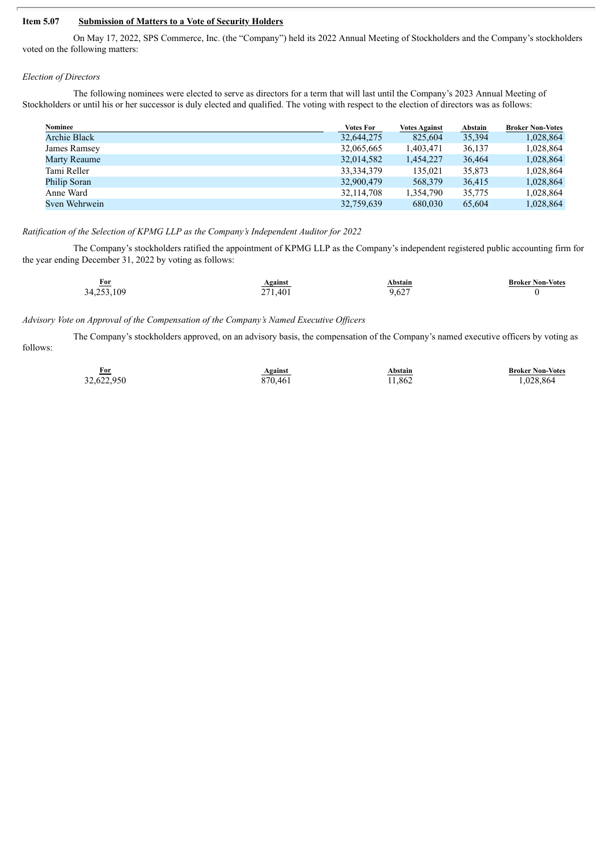### **Item 5.07 Submission of Matters to a Vote of Security Holders**

On May 17, 2022, SPS Commerce, Inc. (the "Company") held its 2022 Annual Meeting of Stockholders and the Company's stockholders voted on the following matters:

#### *Election of Directors*

The following nominees were elected to serve as directors for a term that will last until the Company's 2023 Annual Meeting of Stockholders or until his or her successor is duly elected and qualified. The voting with respect to the election of directors was as follows:

| Nominee             | <b>Votes For</b> | <b>Votes Against</b> | Abstain | <b>Broker Non-Votes</b> |
|---------------------|------------------|----------------------|---------|-------------------------|
| <b>Archie Black</b> | 32,644,275       | 825,604              | 35,394  | 1,028,864               |
| James Ramsey        | 32,065,665       | 1,403,471            | 36.137  | 1,028,864               |
| Marty Reaume        | 32,014,582       | 1,454,227            | 36,464  | 1,028,864               |
| Tami Reller         | 33, 334, 379     | 135,021              | 35,873  | 1,028,864               |
| Philip Soran        | 32,900,479       | 568,379              | 36,415  | 1,028,864               |
| Anne Ward           | 32,114,708       | 1,354,790            | 35,775  | 1,028,864               |
| Sven Wehrwein       | 32,759,639       | 680,030              | 65,604  | 1,028,864               |

#### *Ratification of the Selection of KPMG LLP as the Company's Independent Auditor for 2022*

The Company's stockholders ratified the appointment of KPMG LLP as the Company's independent registered public accounting firm for the year ending December 31, 2022 by voting as follows:

| $For$      | Against | Abstain | <b>Broker Non-Votes</b> |
|------------|---------|---------|-------------------------|
| 34,253,109 | 271,401 | 9,627   |                         |

#### *Advisory Vote on Approval of the Compensation of the Company's Named Executive Of icers*

The Company's stockholders approved, on an advisory basis, the compensation of the Company's named executive officers by voting as follows:

| For<br>_____ | <b>Against</b> | Abstain | <b>Broker Non-Votes</b> |
|--------------|----------------|---------|-------------------------|
| 32,622,950   | 870.461        | 11,862  | 1,028,864               |